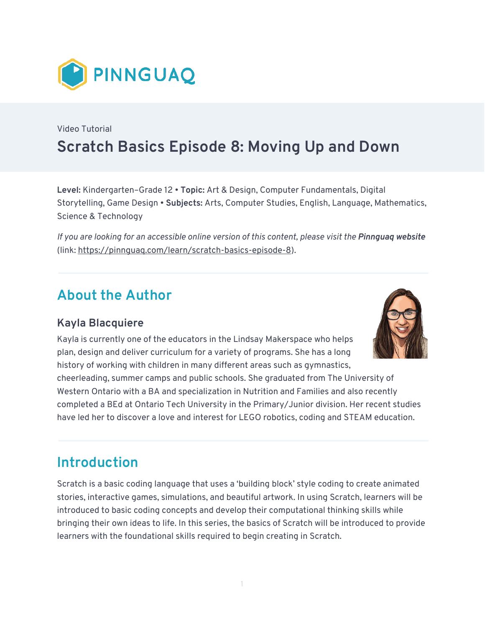

# Video Tutorial **Scratch Basics Episode 8: Moving Up and Down**

**Level:** Kindergarten–Grade 12 • **Topic:** Art & Design, Computer Fundamentals, Digital Storytelling, Game Design • **Subjects:** Arts, Computer Studies, English, Language, Mathematics, Science & Technology

*If you are looking for an accessible online version of this content, please visit the Pinnguag website* (link: [https://pinnguaq.com/learn/scratch-basics-episode-8\)](https://pinnguaq.com/learn/scratch-basics-episode-8).

## **About the Author**

#### **Kayla Blacquiere**

Kayla is currently one of the educators in the Lindsay Makerspace who helps plan, design and deliver curriculum for a variety of programs. She has a long history of working with children in many different areas such as gymnastics,

cheerleading, summer camps and public schools. She graduated from The University of Western Ontario with a BA and specialization in Nutrition and Families and also recently completed a BEd at Ontario Tech University in the Primary/Junior division. Her recent studies have led her to discover a love and interest for LEGO robotics, coding and STEAM education.

### **Introduction**

Scratch is a basic coding language that uses a 'building block' style coding to create animated stories, interactive games, simulations, and beautiful artwork. In using Scratch, learners will be introduced to basic coding concepts and develop their computational thinking skills while bringing their own ideas to life. In this series, the basics of Scratch will be introduced to provide learners with the foundational skills required to begin creating in Scratch.

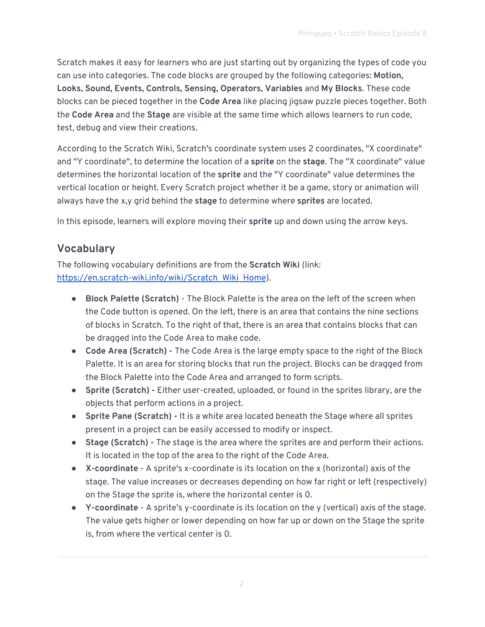Scratch makes it easy for learners who are just starting out by organizing the types of code you can use into categories. The code blocks are grouped by the following categories: **Motion, Looks, Sound, Events, Controls, Sensing, Operators, Variables** and **My Blocks**. These code blocks can be pieced together in the **Code Area** like placing jigsaw puzzle pieces together. Both the **Code Area** and the **Stage** are visible at the same time which allows learners to run code, test, debug and view their creations.

According to the Scratch Wiki, Scratch's coordinate system uses 2 coordinates, "X coordinate" and "Y coordinate", to determine the location of a **sprite** on the **stage**. The "X coordinate" value determines the horizontal location of the **sprite** and the "Y coordinate" value determines the vertical location or height. Every Scratch project whether it be a game, story or animation will always have the x,y grid behind the **stage** to determine where **sprites** are located.

In this episode, learners will explore moving their **sprite** up and down using the arrow keys.

#### **Vocabulary**

The following vocabulary definitions are from the **Scratch Wiki** (link: [https://en.scratch-wiki.info/wiki/Scratch\\_Wiki\\_Home](https://en.scratch-wiki.info/wiki/Scratch_Wiki_Home)).

- **Block Palette (Scratch)**  The Block Palette is the area on the left of the screen when the Code button is opened. On the left, there is an area that contains the nine sections of blocks in Scratch. To the right of that, there is an area that contains blocks that can be dragged into the Code Area to make code.
- **Code Area (Scratch)** The Code Area is the large empty space to the right of the Block Palette. It is an area for storing blocks that run the project. Blocks can be dragged from the Block Palette into the Code Area and arranged to form scripts.
- **Sprite (Scratch) -** Either user-created, uploaded, or found in the sprites library, are the objects that perform actions in a project.
- **Sprite Pane (Scratch) -** It is a white area located beneath the Stage where all sprites present in a project can be easily accessed to modify or inspect.
- **Stage (Scratch) -** The stage is the area where the sprites are and perform their actions. It is located in the top of the area to the right of the Code Area.
- **X-coordinate** A sprite's x-coordinate is its location on the x (horizontal) axis of the stage. The value increases or decreases depending on how far right or left (respectively) on the Stage the sprite is, where the horizontal center is 0.
- **Y-coordinate** A sprite's y-coordinate is its location on the y (vertical) axis of the stage. The value gets higher or lower depending on how far up or down on the Stage the sprite is, from where the vertical center is 0.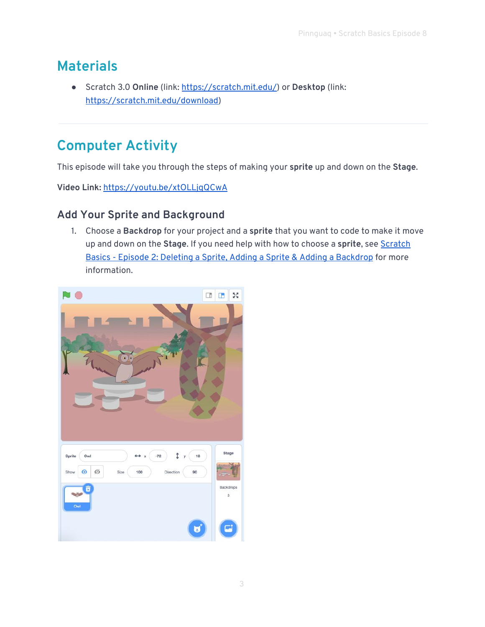### **Materials**

● Scratch 3.0 **Online** (link: [https://scratch.mit.edu/\)](https://scratch.mit.edu/) or **Desktop** (link: [https://scratch.mit.edu/download\)](https://scratch.mit.edu/download)

# **Computer Activity**

This episode will take you through the steps of making your **sprite** up and down on the **Stage**.

**Video Link:** <https://youtu.be/xtOLLjqQCwA>

#### **Add Your Sprite and Background**

1. Choose a **Backdrop** for your project and a **sprite** that you want to code to make it move up and down on the **Stage**. If you need help with how to choose a **sprite**, see [Scratch](https://pinnguaq.com/learn/scratch-basics-episode-2)  [Basics - Episode 2: Deleting a Sprite, Adding a Sprite & Adding a Backdrop](https://pinnguaq.com/learn/scratch-basics-episode-2) for more information.

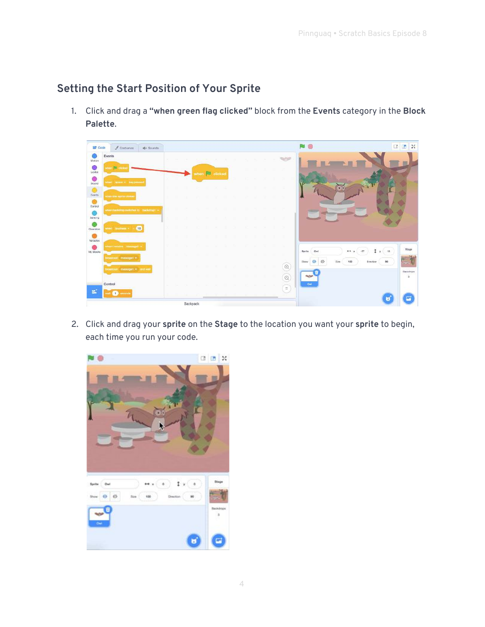#### **Setting the Start Position of Your Sprite**

1. Click and drag a **"when green flag clicked"** block from the **Events** category in the **Block Palette**.

| Code                   | $\sqrt{\phantom{a}}$ Costumos<br>di Sounds |  |          |           |         |  |  |  |                 |                                                                   |        | □□×                                 |
|------------------------|--------------------------------------------|--|----------|-----------|---------|--|--|--|-----------------|-------------------------------------------------------------------|--------|-------------------------------------|
| Motion                 | Events                                     |  |          |           |         |  |  |  | ₩               |                                                                   |        |                                     |
| $\bigcirc$<br>Looks    | <b>When I dicky</b>                        |  | when     | <b>Ru</b> | clicked |  |  |  |                 |                                                                   |        |                                     |
| $\bullet$<br>Scund     | wheel appoint to lary proses               |  |          |           |         |  |  |  |                 |                                                                   |        |                                     |
| $\circ$<br>Exems       | where the sprits close                     |  |          |           |         |  |  |  |                 |                                                                   |        |                                     |
| $\bullet$<br>Control   |                                            |  |          |           |         |  |  |  | m.              |                                                                   |        |                                     |
| <b>Saraing</b>         | Ahen isackotrop swittings to trackoropt    |  |          |           |         |  |  |  | чu.             |                                                                   |        |                                     |
| Operators              | 10<br>www.ill.communication.com            |  |          |           |         |  |  |  | n.              |                                                                   |        |                                     |
| $\bullet$<br>Variables |                                            |  |          |           |         |  |  |  |                 |                                                                   |        |                                     |
| ⌒<br>My Blocks         | Wertfassen ministert                       |  |          |           |         |  |  |  |                 | t<br>44 x<br>$-77$<br>Owl<br>Sprite                               | $x$ 15 | Stage                               |
|                        | imateur messagn1                           |  |          |           |         |  |  |  |                 | $\emptyset$<br>$\odot$<br><b>Ilhow</b><br>100<br>Drection<br>Size | 90     |                                     |
|                        | Transcenat meesaget . and we               |  |          |           |         |  |  |  | $^{\copyright}$ | <b>SOF</b>                                                        |        | <b>Blackdoops</b><br>$\overline{3}$ |
|                        | Control                                    |  |          |           |         |  |  |  | $\odot$         | Ow                                                                |        |                                     |
| E                      | mecondi<br>$\left\langle 1 \right\rangle$  |  |          |           |         |  |  |  | $\equiv$        |                                                                   |        |                                     |
|                        |                                            |  | Backpack |           |         |  |  |  |                 |                                                                   |        |                                     |

2. Click and drag your **sprite** on the **Stage** to the location you want your **sprite** to begin, each time you run your code.

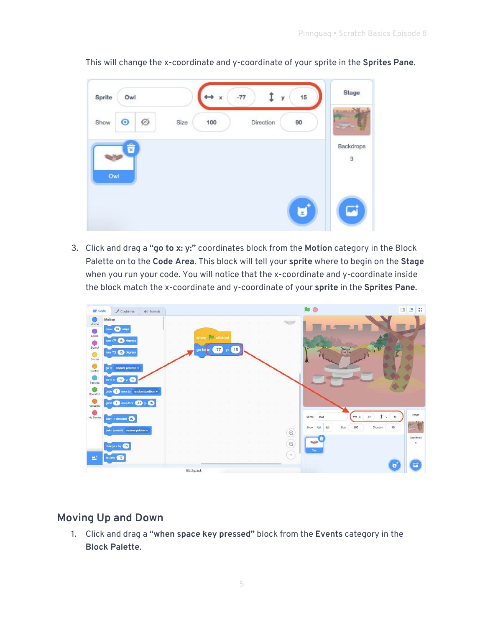

This will change the x-coordinate and y-coordinate of your sprite in the **Sprites Pane**.

3. Click and drag a **"go to x: y:"** coordinates block from the **Motion** category in the Block Palette on to the **Code Area**. This block will tell your **sprite** where to begin on the **Stage** when you run your code. You will notice that the x-coordinate and y-coordinate inside the block match the x-coordinate and y-coordinate of your **sprite** in the **Sprites Pane**.



#### **Moving Up and Down**

1. Click and drag a **"when space key pressed"** block from the **Events** category in the **Block Palette**.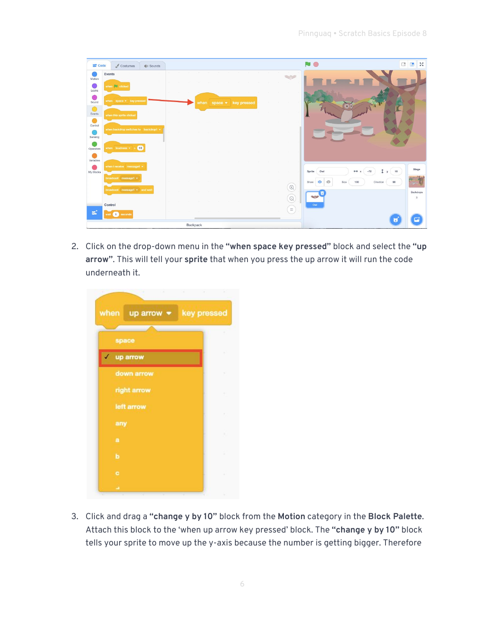| <b>SET</b> Code      | $\sqrt{\phantom{a}}$ Costumes<br>$\psi$ Sounds |  |          |                                  |  |  |  |              |                                                              | $\frac{1}{2}$<br>$\Box$<br>$\Box$ |
|----------------------|------------------------------------------------|--|----------|----------------------------------|--|--|--|--------------|--------------------------------------------------------------|-----------------------------------|
| œ<br>Motion          | Events                                         |  |          |                                  |  |  |  |              |                                                              |                                   |
| 0<br>Looks           | when <b>B</b> clicked                          |  |          |                                  |  |  |  | - 23         |                                                              |                                   |
| $\bullet$<br>Sound   | when space • key pressed                       |  |          | when space $\bullet$ key pressed |  |  |  |              |                                                              |                                   |
| $\circ$<br>Events    | when this sprite clicked                       |  | - 27     |                                  |  |  |  |              |                                                              |                                   |
| $\bullet$<br>Control |                                                |  |          |                                  |  |  |  |              |                                                              |                                   |
| Sensing              | when backdrop switches to backdrop1 =          |  |          |                                  |  |  |  |              |                                                              |                                   |
| Operators            | when loudness $\sqrt{ }$ > 10                  |  |          |                                  |  |  |  | $\sim$       |                                                              |                                   |
| Variables            |                                                |  |          |                                  |  |  |  |              |                                                              |                                   |
| My Blocks            | when I receive message1 .                      |  |          |                                  |  |  |  |              | Sprite<br>Owl<br>$\leftrightarrow x$<br>$-72$<br>I.          | Stage<br>18<br>$\mathbf{y}$       |
|                      | broadcast message1 =                           |  |          |                                  |  |  |  |              | $\emptyset$<br>$\bullet$<br>Show<br>Size<br>100<br>Direction | 90                                |
|                      | broadcast message1 = and wait                  |  |          |                                  |  |  |  | $^\circledR$ | 2010                                                         | Backdrops                         |
|                      | Control                                        |  |          |                                  |  |  |  | $\Theta$     | Owl                                                          | $\mathbf{3}$                      |
| εŕ                   | wait 1 seconds                                 |  |          |                                  |  |  |  | $\equiv$     |                                                              |                                   |
|                      |                                                |  | Backpack |                                  |  |  |  |              |                                                              |                                   |

2. Click on the drop-down menu in the **"when space key pressed"** block and select the **"up arrow"**. This will tell your **sprite** that when you press the up arrow it will run the code underneath it.

| × | the contract of the contract of the |             |   |
|---|-------------------------------------|-------------|---|
|   | when $uparrow$ when                 | key pressed |   |
|   |                                     |             | ٠ |
|   | space                               |             |   |
|   | $\checkmark$ up arrow               |             |   |
|   | down arrow                          |             | ٠ |
|   | right arrow                         |             |   |
|   | left arrow                          |             |   |
|   | any                                 |             | ٠ |
|   | a                                   |             |   |
|   | b                                   |             |   |
|   | c                                   |             |   |
|   | ۵                                   |             | ¥ |

3. Click and drag a **"change y by 10"** block from the **Motion** category in the **Block Palette**. Attach this block to the 'when up arrow key pressed' block. The **"change y by 10"** block tells your sprite to move up the y-axis because the number is getting bigger. Therefore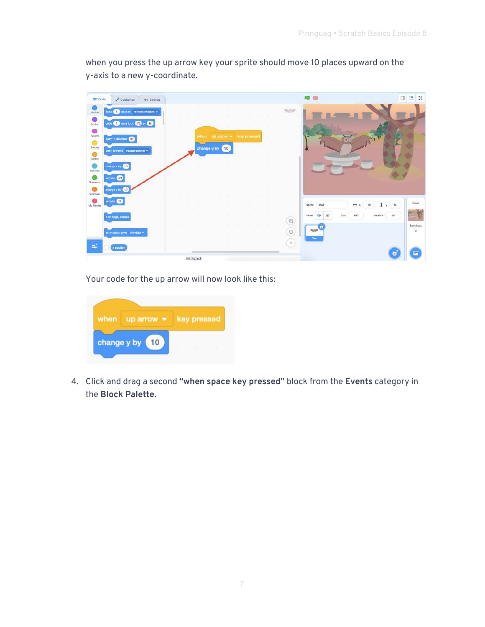NO □□3 **SP** Code Costumes | 40 Sounds  $\overline{\mathbf{Q}}$  $\sim$ olide (a) secs to mendom position .  $\frac{1}{2}$ gide (1) sestor @ y: (1) Sound<br>Everts<br>Centre  $60<sub>1</sub>$ hange y by (10) Senting change x by **OD**  $\bullet$ set x to **472**  $\bigcirc$  $(10$ My Blocks sety to @ Sprite Owl  $\leftrightarrow$  x  $\mathbf{1}$  y  $\left($  10 -72  $\odot$ Ø  $\circledcirc$  $\bigcirc$ rotation style init-right = ∈  $\equiv$ x position Backpack

when you press the up arrow key your sprite should move 10 places upward on the y-axis to a new y-coordinate.

Your code for the up arrow will now look like this:

| when | up arrow $\bullet$ | key pressed |  |  |
|------|--------------------|-------------|--|--|
|      | change y by<br>10  |             |  |  |

4. Click and drag a second **"when space key pressed"** block from the **Events** category in the **Block Palette**.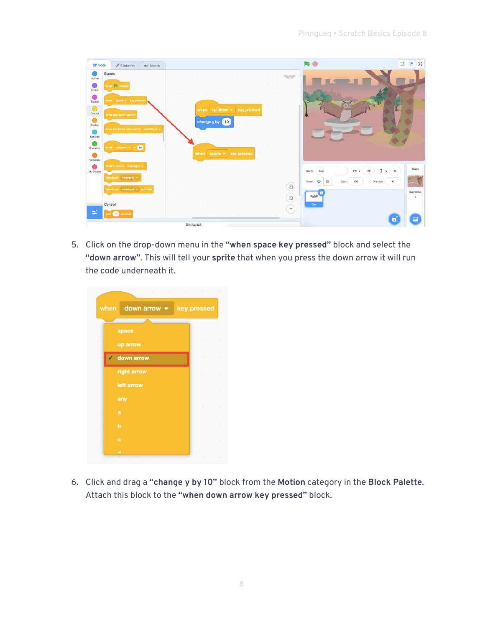| <b>SST</b> Code                                                                                                       | Costumes<br>do Sounds                                                                                                                                         |                                                                                                                                      |                                                                                                                                                                                        | <b>BB</b>                                               |
|-----------------------------------------------------------------------------------------------------------------------|---------------------------------------------------------------------------------------------------------------------------------------------------------------|--------------------------------------------------------------------------------------------------------------------------------------|----------------------------------------------------------------------------------------------------------------------------------------------------------------------------------------|---------------------------------------------------------|
| Motion<br>$\bullet$<br>Looks<br>۰<br>Sound<br>$\circ$<br>Events<br>$\bullet$<br>Control<br>G<br>Sensing<br>Ciperators | Events<br>view <b>D</b> clicke<br>fine: space - key-press<br>when this aprile chilled<br>when the control network options and read<br>(10)<br>vinni sudness v | Part of<br>n.<br><b>SALE</b><br>when $uparrow$ $\star$ key pressed<br>change y by 10<br>when space * key pressed<br>m.<br><b>THE</b> | $\left  \cdot \right $<br><b>Contract</b>                                                                                                                                              |                                                         |
| 0<br>Variables<br>My Blocks                                                                                           | · foguneer: uviecent.neity<br>medium message1 -<br>havious messages and wall<br>Control                                                                       | $\overline{a}$<br>ж                                                                                                                  | $-72$<br>Sprite<br>Ow<br>$\leftarrow$<br>$\circ$<br>$\circ$<br><b>Show</b><br>Size<br>100<br>$^\copyright$<br>E.<br>$\circledcirc$<br><b>Parties</b><br>n a<br><b>Dist</b><br>$\equiv$ | Stage<br>78<br>v.<br>90<br>Direction.<br>Backdrook<br>3 |
| $\equiv$                                                                                                              | m <b>D</b> seconds                                                                                                                                            | Backpack                                                                                                                             |                                                                                                                                                                                        |                                                         |

5. Click on the drop-down menu in the **"when space key pressed"** block and select the **"down arrow"**. This will tell your **sprite** that when you press the down arrow it will run the code underneath it.

|   | when down arrow $\bullet$ | key pressed        |         |
|---|---------------------------|--------------------|---------|
|   | space                     | x                  |         |
|   | up arrow                  | . .                |         |
| ✓ | down arrow                |                    |         |
|   | right arrow               | <b>ANGLE COM</b>   |         |
|   | left arrow                | W.                 | $-1.16$ |
|   | any                       | W.                 | v.      |
|   | $\mathbf{a}$<br>b         | W.                 | 1.00    |
|   | c                         | 2012/07/2012 12:00 |         |
|   | ٠                         |                    |         |

6. Click and drag a **"change y by 10"** block from the **Motion** category in the **Block Palette**. Attach this block to the **"when down arrow key pressed"** block.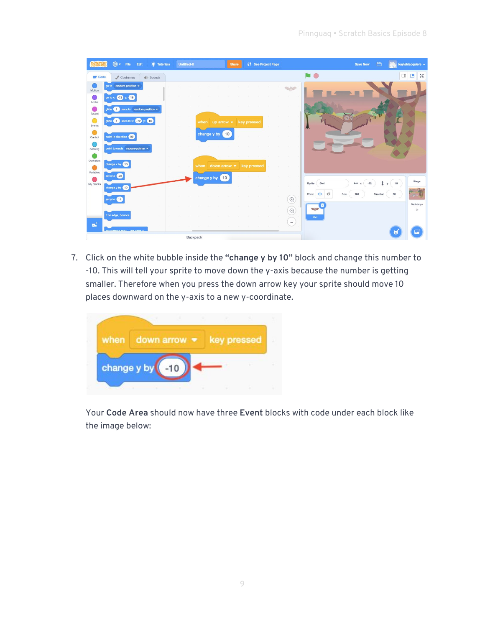|                     | $\bigoplus$ -<br>File<br>Edit      | <b>O</b> : Tutorials                             | <b>Untitled-8</b>   | <b>Share</b>          | (5 See Project Page | <b>Save Now</b>                               | $\Box$<br>kaylablacquiere v |
|---------------------|------------------------------------|--------------------------------------------------|---------------------|-----------------------|---------------------|-----------------------------------------------|-----------------------------|
| <b>SE</b> Code      | $\sqrt{\phantom{a}}$ Costumes      | $\langle \mathbf{w}   \mathbf{w} \rangle$ Sounds |                     |                       |                     | <b>NO</b>                                     | $\Box$<br>-56<br>$\Box$     |
| Motion              | go to random position $\star$      |                                                  |                     |                       |                     |                                               |                             |
| C.<br>Looks         | go to $x = -72$ y:<br>(18)         |                                                  |                     |                       |                     |                                               |                             |
| O                   | secs to random position .<br>alide |                                                  |                     |                       |                     |                                               |                             |
| Sound<br>$\bigcirc$ | glide $(1)$ secs to x: $-72$ y:    | 18                                               | when $uparrow$ when |                       | key pressed         |                                               |                             |
| Events              |                                    |                                                  |                     | 10                    |                     |                                               |                             |
| Control             | point in direction 90              |                                                  | change y by         |                       |                     |                                               |                             |
| Sensing             | point towards mouse-pointer        |                                                  |                     |                       |                     |                                               |                             |
| Operators           | change x by (10)                   |                                                  |                     |                       |                     |                                               |                             |
| Variables           | set x to $-72$                     |                                                  | when                | down arrow $\sqrt{*}$ | key pressed         |                                               |                             |
| My Blocks           |                                    |                                                  | change y by         | 10                    |                     | $-72$<br>$\leftrightarrow x$<br>Sprite<br>Owl | Stage<br>î<br>18<br>$y$     |
|                     | change y by 10                     |                                                  |                     |                       |                     | Ø<br>$\bullet$<br>Show<br>100<br>Size         | 90<br>Direction             |
|                     | set y to 18                        |                                                  |                     |                       |                     | $\mathrel{\odot}$<br><b>x</b>                 | Backdrops                   |
|                     | if on edge, bounce                 |                                                  |                     |                       |                     | <b>Barbara</b><br>$\odot$<br>Owl              | 3                           |
| еť.                 |                                    |                                                  |                     |                       |                     | $\equiv$                                      |                             |
|                     | tdeis that a style nothering to    |                                                  | Backpack            |                       |                     |                                               | 顾<br>E.                     |

7. Click on the white bubble inside the **"change y by 10"** block and change this number to -10. This will tell your sprite to move down the y-axis because the number is getting smaller. Therefore when you press the down arrow key your sprite should move 10 places downward on the y-axis to a new y-coordinate.



Your **Code Area** should now have three **Event** blocks with code under each block like the image below: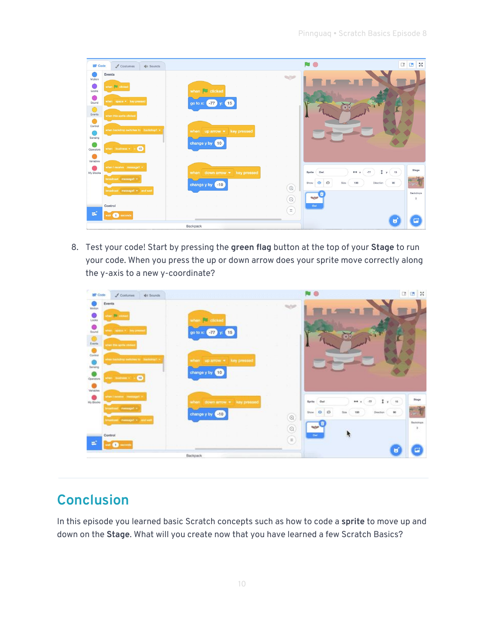| <b>SEP</b> Code                                                                                                       | $\triangle$ Costumes<br>(i) Sounds                                                                                                                              |                                                                                                                   | N O<br>$\Box$                                                                                                                                           | $\mathbb{Z}$ X                          |
|-----------------------------------------------------------------------------------------------------------------------|-----------------------------------------------------------------------------------------------------------------------------------------------------------------|-------------------------------------------------------------------------------------------------------------------|---------------------------------------------------------------------------------------------------------------------------------------------------------|-----------------------------------------|
| 00<br>Motion<br>0<br>Looks<br>∩<br>Sound<br>$\bigcirc$<br>Events<br>$\bullet$<br>Control<br>0<br>Sensing<br>Operators | Events<br>when <b>B</b> clicked<br>when space = key pressed<br>when this sprite clicked<br>when backdrop switches to backdrop1 +<br>when loudness $\sim$ 5 (10) | <b>SHOP</b><br>when $\Box$ clicked<br>go to x: -77<br>15<br>key pressed<br>when $uparrow$<br>change y by 10       | $\bullet$                                                                                                                                               |                                         |
| 0<br>Variables<br>My Blocks<br>εŕ,                                                                                    | when I receive message1 *<br>broadcast message1 =<br>broadcast message1 = and wait<br>Control<br>wait seconds                                                   | when down arrow $\bullet$ key pressed<br>change y by 410<br>$\textcircled{\scriptsize 1}$<br>$\Theta$<br>$\equiv$ | y(15)<br>$-77$<br>Owl<br>$\leftrightarrow x$<br>Sprite<br>$\varnothing$<br>$\odot$<br>90<br>Show<br>Size.<br>100<br>Direction<br><b>Contract</b><br>Owl | Stage<br>$-2\epsilon$<br>Backdrops<br>3 |
|                                                                                                                       |                                                                                                                                                                 | Backpack                                                                                                          |                                                                                                                                                         |                                         |

8. Test your code! Start by pressing the **green flag** button at the top of your **Stage** to run your code. When you press the up or down arrow does your sprite move correctly along the y-axis to a new y-coordinate?

| <b>ET</b> Code | $J$ Costumes<br>di Sounds                          |                                       | Pa ®                            | 国语类                              |
|----------------|----------------------------------------------------|---------------------------------------|---------------------------------|----------------------------------|
| Motion         | Events                                             |                                       | <b>SOP</b>                      |                                  |
| ۵<br>Looka     | on Richard                                         | when clicked                          |                                 |                                  |
| <b>Bound</b>   | etwor, apaca = lany presse                         | go to x: (77) y: (15)                 |                                 |                                  |
| Eventa         | cian this spris of dias                            |                                       |                                 |                                  |
| Control        |                                                    |                                       |                                 |                                  |
| Bensing        | rheen transferência a autochala ter  Inserto needs | when $\nu p$ arrow $\nu$ fory pressed |                                 |                                  |
| Operators      | the consensus (10)                                 | change y by 10                        |                                 |                                  |
| Variables      |                                                    |                                       |                                 |                                  |
| My Blocks      | when I months - messaget +                         | when down arrow + key pressed         | Sprite<br>Out                   | Stage<br>$1$ $x$ $u$<br>44 x -77 |
|                | reactions: messages -                              | change y by <10                       | $\circ$ $\circ$<br>Show.        | 66<br>Direction                  |
|                | masksaal: massaget = and we                        |                                       | $^\copyright$<br><b>Surface</b> | Backdrips                        |
|                | Control                                            |                                       | $^{\circ}$<br>Out               |                                  |
| ×              | will all seconds                                   |                                       | $\left( =\right)$               | u                                |
|                |                                                    | <b>Deadliness</b>                     |                                 |                                  |

# **Conclusion**

In this episode you learned basic Scratch concepts such as how to code a **sprite** to move up and down on the **Stage**. What will you create now that you have learned a few Scratch Basics?